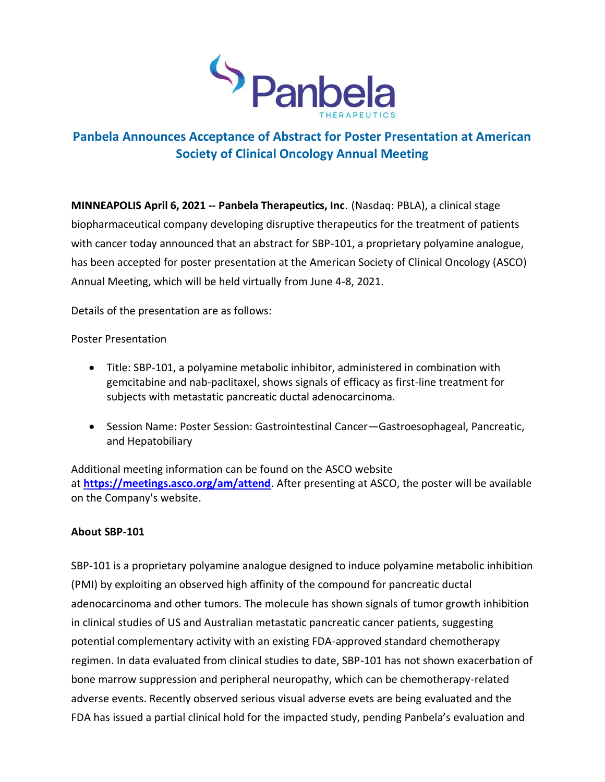

# **Panbela Announces Acceptance of Abstract for Poster Presentation at American Society of Clinical Oncology Annual Meeting**

**MINNEAPOLIS April 6, 2021 -- Panbela Therapeutics, Inc**. (Nasdaq: PBLA), a clinical stage biopharmaceutical company developing disruptive therapeutics for the treatment of patients with cancer today announced that an abstract for SBP-101, a proprietary polyamine analogue, has been accepted for poster presentation at the American Society of Clinical Oncology (ASCO) Annual Meeting, which will be held virtually from June 4-8, 2021.

Details of the presentation are as follows:

Poster Presentation

- Title: SBP-101, a polyamine metabolic inhibitor, administered in combination with gemcitabine and nab-paclitaxel, shows signals of efficacy as first-line treatment for subjects with metastatic pancreatic ductal adenocarcinoma.
- Session Name: Poster Session: Gastrointestinal Cancer—Gastroesophageal, Pancreatic, and Hepatobiliary

Additional meeting information can be found on the ASCO website at **<https://meetings.asco.org/am/attend>**. After presenting at ASCO, the poster will be available on the Company's website.

## **About SBP-101**

SBP-101 is a proprietary polyamine analogue designed to induce polyamine metabolic inhibition (PMI) by exploiting an observed high affinity of the compound for pancreatic ductal adenocarcinoma and other tumors. The molecule has shown signals of tumor growth inhibition in clinical studies of US and Australian metastatic pancreatic cancer patients, suggesting potential complementary activity with an existing FDA-approved standard chemotherapy regimen. In data evaluated from clinical studies to date, SBP-101 has not shown exacerbation of bone marrow suppression and peripheral neuropathy, which can be chemotherapy-related adverse events. Recently observed serious visual adverse evets are being evaluated and the FDA has issued a partial clinical hold for the impacted study, pending Panbela's evaluation and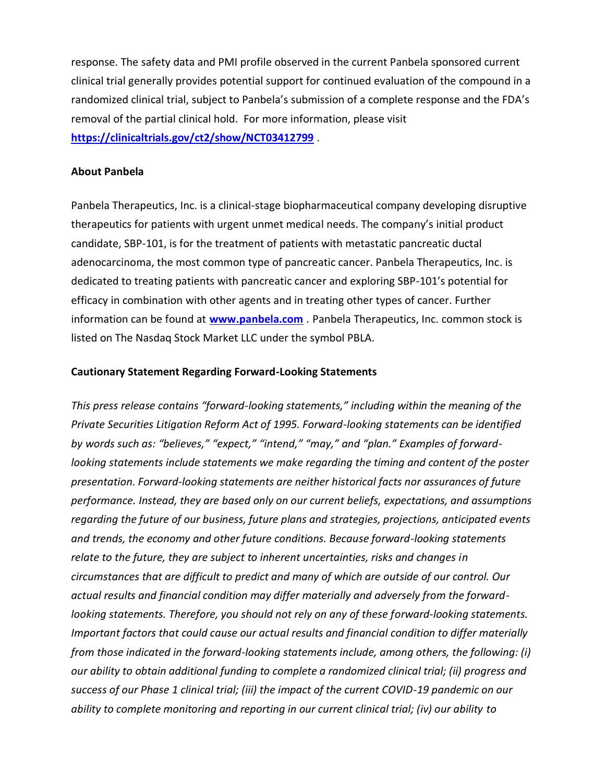response. The safety data and PMI profile observed in the current Panbela sponsored current clinical trial generally provides potential support for continued evaluation of the compound in a randomized clinical trial, subject to Panbela's submission of a complete response and the FDA's removal of the partial clinical hold. For more information, please visit **[https://clinicaltrials.gov/ct2/show/NCT03412799](https://www.globenewswire.com/Tracker?data=ggb69aNk_B4yqxRSrDMv-kB4Zx696Lu8xowsdRGjJhc30xjgW2Uo4leKtkmTg-Av2dUjryFPMJ4T8xKVnmLO5-s8aF6GGNnYmH0suCTx2JoQ6oIyzOB2b-KC6Za0lK9pCgK-syLIrNvwobdHSS1cIaky_LrOrHrJsbWtVt3JZZ-WNZus7zg4IZmDIT4y8P_VXMhGwKjcqSfpT9k1nOPpuzErPY9GcmYWwySvQ0ybqKZbs-zBqQ4ddSy-i7dlqP4q3wJbDjtJtIfnNsn3i482etEnXo8DA85LzuHCKJKqooH-TwHmCLPnzbLadGe280BVdFXoRITwxWAtQ1sjiiJYEtI_0yYe_KpCc6E4o7GqywsLayJtQ5KLXnoLilXPRzc9)** .

### **About Panbela**

Panbela Therapeutics, Inc. is a clinical-stage biopharmaceutical company developing disruptive therapeutics for patients with urgent unmet medical needs. The company's initial product candidate, SBP-101, is for the treatment of patients with metastatic pancreatic ductal adenocarcinoma, the most common type of pancreatic cancer. Panbela Therapeutics, Inc. is dedicated to treating patients with pancreatic cancer and exploring SBP-101's potential for efficacy in combination with other agents and in treating other types of cancer. Further information can be found at **[www.panbela.com](https://www.globenewswire.com/Tracker?data=oSR5rT5c3l_SxCqru7g9bQmtt-b4QkzkdNahD2yXbut7enKkyr0tq9yGL1k4tmuR58i5vrFQmZ4jS14VFdSfiirtRp1_PUY9ExBAMVyDU7_zKO0lybuGsoFwBFVrdwpRG4FHEz1lrnjdKJ080J92unpfQO7IROrVE85i-UD8agi7uiKpxtjQwBSbNopxqfW1AHgUmhx6l9qej40KSR5LOg6F9wuABDiFBilIu6l0-Bw=)** . Panbela Therapeutics, Inc. common stock is listed on The Nasdaq Stock Market LLC under the symbol PBLA.

#### **Cautionary Statement Regarding Forward-Looking Statements**

*This press release contains "forward-looking statements," including within the meaning of the Private Securities Litigation Reform Act of 1995. Forward-looking statements can be identified by words such as: "believes," "expect," "intend," "may," and "plan." Examples of forwardlooking statements include statements we make regarding the timing and content of the poster presentation. Forward-looking statements are neither historical facts nor assurances of future performance. Instead, they are based only on our current beliefs, expectations, and assumptions regarding the future of our business, future plans and strategies, projections, anticipated events and trends, the economy and other future conditions. Because forward-looking statements relate to the future, they are subject to inherent uncertainties, risks and changes in circumstances that are difficult to predict and many of which are outside of our control. Our actual results and financial condition may differ materially and adversely from the forwardlooking statements. Therefore, you should not rely on any of these forward-looking statements. Important factors that could cause our actual results and financial condition to differ materially from those indicated in the forward-looking statements include, among others, the following: (i) our ability to obtain additional funding to complete a randomized clinical trial; (ii) progress and success of our Phase 1 clinical trial; (iii) the impact of the current COVID-19 pandemic on our ability to complete monitoring and reporting in our current clinical trial; (iv) our ability to*